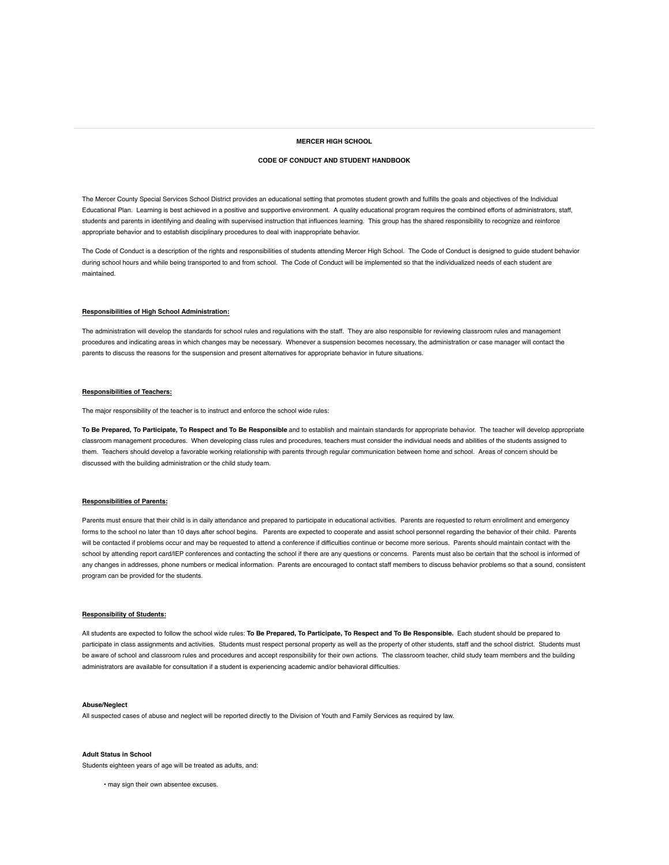# **MERCER HIGH SCHOOL**

# **CODE OF CONDUCT AND STUDENT HANDBOOK**

The Mercer County Special Services School District provides an educational setting that promotes student growth and fulfills the goals and objectives of the Individual Educational Plan. Learning is best achieved in a positive and supportive environment. A quality educational program requires the combined efforts of administrators, staff, students and parents in identifying and dealing with supervised instruction that influences learning. This group has the shared responsibility to recognize and reinforce appropriate behavior and to establish disciplinary procedures to deal with inappropriate behavior.

The Code of Conduct is a description of the rights and responsibilities of students attending Mercer High School. The Code of Conduct is designed to guide student behavior during school hours and while being transported to and from school. The Code of Conduct will be implemented so that the individualized needs of each student are maintained.

# **Responsibilities of High School Administration:**

The administration will develop the standards for school rules and regulations with the staff. They are also responsible for reviewing classroom rules and management procedures and indicating areas in which changes may be necessary. Whenever a suspension becomes necessary, the administration or case manager will contact the parents to discuss the reasons for the suspension and present alternatives for appropriate behavior in future situations.

# **Responsibilities of Teachers:**

The major responsibility of the teacher is to instruct and enforce the school wide rules:

**To Be Prepared, To Participate, To Respect and To Be Responsible** and to establish and maintain standards for appropriate behavior. The teacher will develop appropriate classroom management procedures. When developing class rules and procedures, teachers must consider the individual needs and abilities of the students assigned to them. Teachers should develop a favorable working relationship with parents through regular communication between home and school. Areas of concern should be discussed with the building administration or the child study team.

## **Responsibilities of Parents:**

Parents must ensure that their child is in daily attendance and prepared to participate in educational activities. Parents are requested to return enrollment and emergency forms to the school no later than 10 days after school begins. Parents are expected to cooperate and assist school personnel regarding the behavior of their child. Parents will be contacted if problems occur and may be requested to attend a conference if difficulties continue or become more serious. Parents should maintain contact with the school by attending report card/IEP conferences and contacting the school if there are any questions or concerns. Parents must also be certain that the school is informed of any changes in addresses, phone numbers or medical information. Parents are encouraged to contact staff members to discuss behavior problems so that a sound, consistent program can be provided for the students.

# **Responsibility of Students:**

All students are expected to follow the school wide rules: **To Be Prepared, To Participate, To Respect and To Be Responsible.** Each student should be prepared to participate in class assignments and activities. Students must respect personal property as well as the property of other students, staff and the school district. Students must be aware of school and classroom rules and procedures and accept responsibility for their own actions. The classroom teacher, child study team members and the building administrators are available for consultation if a student is experiencing academic and/or behavioral difficulties.

#### **Abuse/Neglect**

All suspected cases of abuse and neglect will be reported directly to the Division of Youth and Family Services as required by law.

### **Adult Status in School**

Students eighteen years of age will be treated as adults, and:

• may sign their own absentee excuses.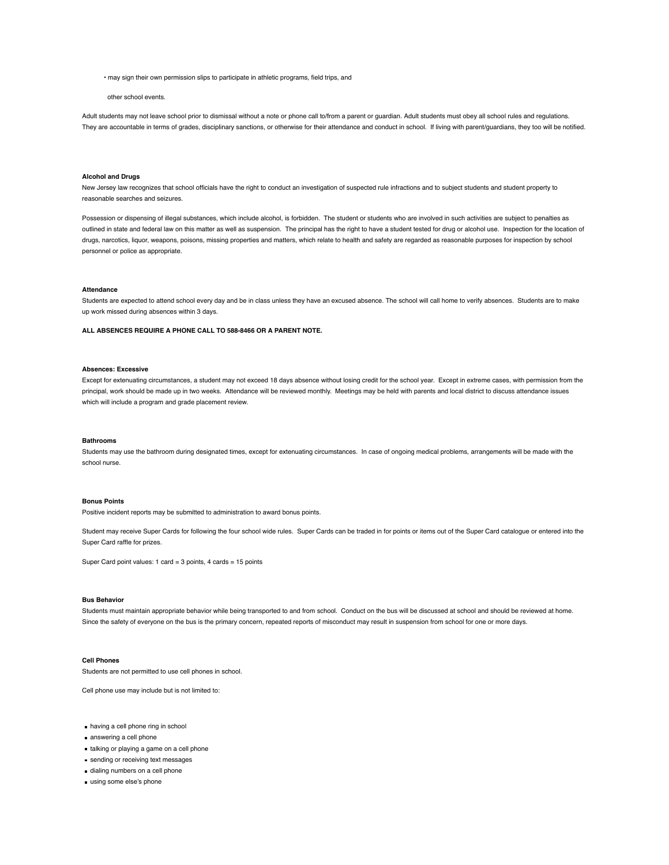• may sign their own permission slips to participate in athletic programs, field trips, and

#### other school events.

Adult students may not leave school prior to dismissal without a note or phone call to/from a parent or guardian. Adult students must obey all school rules and regulations. They are accountable in terms of grades, disciplinary sanctions, or otherwise for their attendance and conduct in school. If living with parent/guardians, they too will be notified.

#### **Alcohol and Drugs**

New Jersey law recognizes that school officials have the right to conduct an investigation of suspected rule infractions and to subject students and student property to reasonable searches and seizures.

Possession or dispensing of illegal substances, which include alcohol, is forbidden. The student or students who are involved in such activities are subject to penalties as outlined in state and federal law on this matter as well as suspension. The principal has the right to have a student tested for drug or alcohol use. Inspection for the location of drugs, narcotics, liquor, weapons, poisons, missing properties and matters, which relate to health and safety are regarded as reasonable purposes for inspection by school personnel or police as appropriate.

## **Attendance**

Students are expected to attend school every day and be in class unless they have an excused absence. The school will call home to verify absences. Students are to make up work missed during absences within 3 days.

**ALL ABSENCES REQUIRE A PHONE CALL TO 588-8466 OR A PARENT NOTE.**

# **Absences: Excessive**

Except for extenuating circumstances, a student may not exceed 18 days absence without losing credit for the school year. Except in extreme cases, with permission from the principal, work should be made up in two weeks. Attendance will be reviewed monthly. Meetings may be held with parents and local district to discuss attendance issues which will include a program and grade placement review.

#### **Bathrooms**

Students may use the bathroom during designated times, except for extenuating circumstances. In case of ongoing medical problems, arrangements will be made with the school nurse.

# **Bonus Points**

Positive incident reports may be submitted to administration to award bonus points.

Student may receive Super Cards for following the four school wide rules. Super Cards can be traded in for points or items out of the Super Card catalogue or entered into the Super Card raffle for prizes.

Super Card point values: 1 card = 3 points, 4 cards = 15 points

## **Bus Behavior**

Students must maintain appropriate behavior while being transported to and from school. Conduct on the bus will be discussed at school and should be reviewed at home. Since the safety of everyone on the bus is the primary concern, repeated reports of misconduct may result in suspension from school for one or more days.

# **Cell Phones**

Students are not permitted to use cell phones in school.

Cell phone use may include but is not limited to:

- having a cell phone ring in school
- answering a cell phone
- talking or playing a game on a cell phone
- sending or receiving text messages
- dialing numbers on a cell phone
- using some else's phone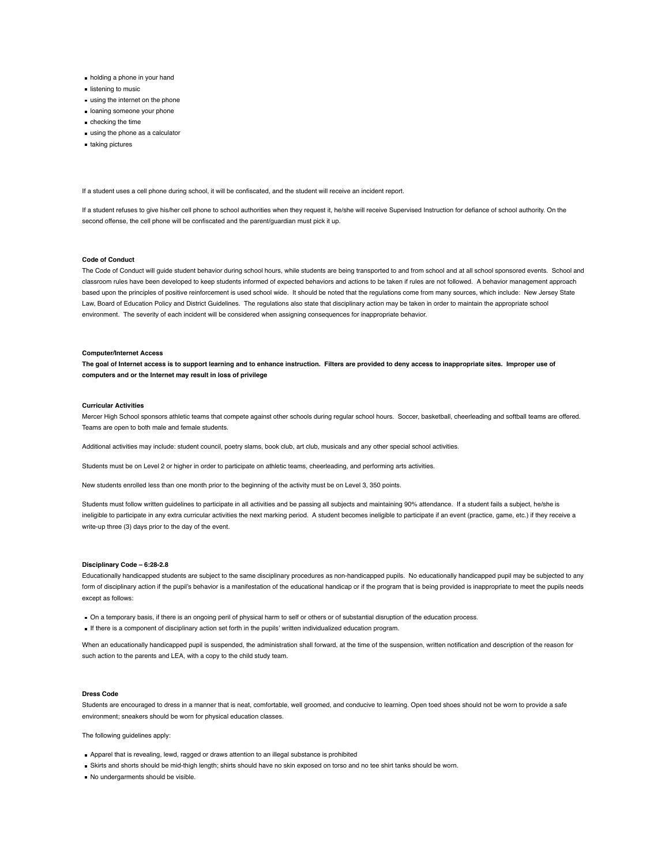- holding a phone in your hand
- listening to music
- using the internet on the phone
- **I** loaning someone your phone
- checking the time
- using the phone as a calculator
- taking pictures

If a student uses a cell phone during school, it will be confiscated, and the student will receive an incident report.

If a student refuses to give his/her cell phone to school authorities when they request it, he/she will receive Supervised Instruction for defiance of school authority. On the second offense, the cell phone will be confiscated and the parent/guardian must pick it up.

## **Code of Conduct**

The Code of Conduct will guide student behavior during school hours, while students are being transported to and from school and at all school sponsored events. School and classroom rules have been developed to keep students informed of expected behaviors and actions to be taken if rules are not followed. A behavior management approach based upon the principles of positive reinforcement is used school wide. It should be noted that the regulations come from many sources, which include: New Jersey State Law, Board of Education Policy and District Guidelines. The regulations also state that disciplinary action may be taken in order to maintain the appropriate school environment. The severity of each incident will be considered when assigning consequences for inappropriate behavior.

## **Computer/Internet Access**

**The goal of Internet access is to support learning and to enhance instruction. Filters are provided to deny access to inappropriate sites. Improper use of computers and or the Internet may result in loss of privilege**

#### **Curricular Activities**

Mercer High School sponsors athletic teams that compete against other schools during regular school hours. Soccer, basketball, cheerleading and softball teams are offered. Teams are open to both male and female students.

Additional activities may include: student council, poetry slams, book club, art club, musicals and any other special school activities.

Students must be on Level 2 or higher in order to participate on athletic teams, cheerleading, and performing arts activities.

New students enrolled less than one month prior to the beginning of the activity must be on Level 3, 350 points.

Students must follow written guidelines to participate in all activities and be passing all subjects and maintaining 90% attendance. If a student fails a subject, he/she is ineligible to participate in any extra curricular activities the next marking period. A student becomes ineligible to participate if an event (practice, game, etc.) if they receive a write-up three (3) days prior to the day of the event.

# **Disciplinary Code – 6:28-2.8**

Educationally handicapped students are subject to the same disciplinary procedures as non-handicapped pupils. No educationally handicapped pupil may be subjected to any form of disciplinary action if the pupil's behavior is a manifestation of the educational handicap or if the program that is being provided is inappropriate to meet the pupils needs except as follows:

- On a temporary basis, if there is an ongoing peril of physical harm to self or others or of substantial disruption of the education process.
- If there is a component of disciplinary action set forth in the pupils' written individualized education program.

When an educationally handicapped pupil is suspended, the administration shall forward, at the time of the suspension, written notification and description of the reason for such action to the parents and LEA, with a copy to the child study team.

#### **Dress Code**

Students are encouraged to dress in a manner that is neat, comfortable, well groomed, and conducive to learning. Open toed shoes should not be worn to provide a safe environment; sneakers should be worn for physical education classes.

The following guidelines apply:

- **Apparel that is revealing, lewd, ragged or draws attention to an illegal substance is prohibited**
- Skirts and shorts should be mid-thigh length; shirts should have no skin exposed on torso and no tee shirt tanks should be worn.
- No undergarments should be visible.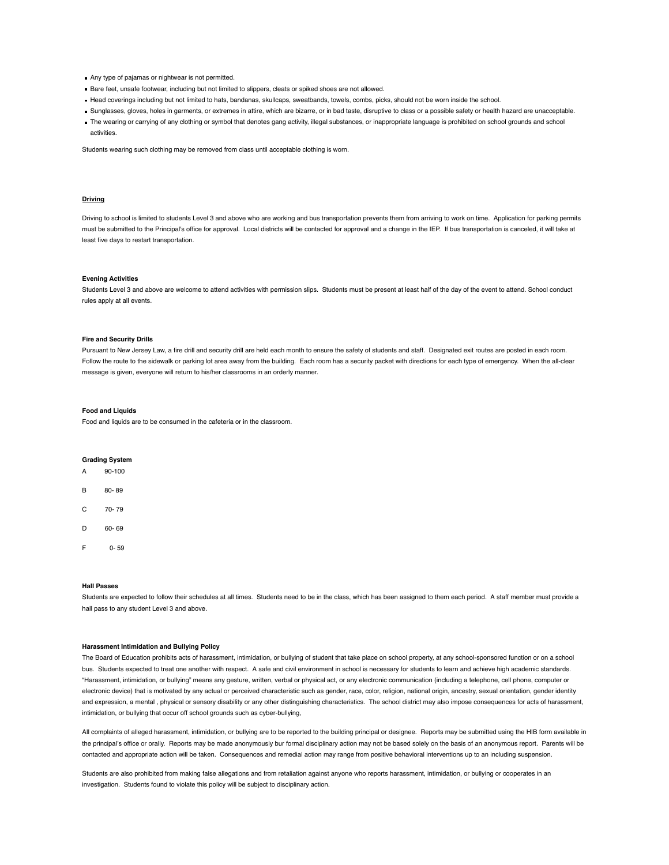- Any type of pajamas or nightwear is not permitted.
- Bare feet, unsafe footwear, including but not limited to slippers, cleats or spiked shoes are not allowed.
- Head coverings including but not limited to hats, bandanas, skullcaps, sweatbands, towels, combs, picks, should not be worn inside the school.
- Sunglasses, gloves, holes in garments, or extremes in attire, which are bizarre, or in bad taste, disruptive to class or a possible safety or health hazard are unacceptable.
- The wearing or carrying of any clothing or symbol that denotes gang activity, illegal substances, or inappropriate language is prohibited on school grounds and school activities.

Students wearing such clothing may be removed from class until acceptable clothing is worn.

# **Driving**

Driving to school is limited to students Level 3 and above who are working and bus transportation prevents them from arriving to work on time. Application for parking permits must be submitted to the Principal's office for approval. Local districts will be contacted for approval and a change in the IEP. If bus transportation is canceled, it will take at least five days to restart transportation.

#### **Evening Activities**

Students Level 3 and above are welcome to attend activities with permission slips. Students must be present at least half of the day of the event to attend. School conduct rules apply at all events.

#### **Fire and Security Drills**

Pursuant to New Jersey Law, a fire drill and security drill are held each month to ensure the safety of students and staff. Designated exit routes are posted in each room. Follow the route to the sidewalk or parking lot area away from the building. Each room has a security packet with directions for each type of emergency. When the all-clear message is given, everyone will return to his/her classrooms in an orderly manner.

# **Food and Liquids**

Food and liquids are to be consumed in the cafeteria or in the classroom.

# **Grading System**

| A | $90 - 100$ |
|---|------------|
| B | 80-89      |
| C | 70-79      |
| D | 60- 69     |
| F | 0-59       |

## **Hall Passes**

Students are expected to follow their schedules at all times. Students need to be in the class, which has been assigned to them each period. A staff member must provide a hall pass to any student Level 3 and above.

# **Harassment Intimidation and Bullying Policy**

The Board of Education prohibits acts of harassment, intimidation, or bullying of student that take place on school property, at any school-sponsored function or on a school bus. Students expected to treat one another with respect. A safe and civil environment in school is necessary for students to learn and achieve high academic standards. "Harassment, intimidation, or bullying" means any gesture, written, verbal or physical act, or any electronic communication (including a telephone, cell phone, computer or electronic device) that is motivated by any actual or perceived characteristic such as gender, race, color, religion, national origin, ancestry, sexual orientation, gender identity and expression, a mental , physical or sensory disability or any other distinguishing characteristics. The school district may also impose consequences for acts of harassment, intimidation, or bullying that occur off school grounds such as cyber-bullying,

All complaints of alleged harassment, intimidation, or bullying are to be reported to the building principal or designee. Reports may be submitted using the HIB form available in the principal's office or orally. Reports may be made anonymously bur formal disciplinary action may not be based solely on the basis of an anonymous report. Parents will be contacted and appropriate action will be taken. Consequences and remedial action may range from positive behavioral interventions up to an including suspension.

Students are also prohibited from making false allegations and from retaliation against anyone who reports harassment, intimidation, or bullying or cooperates in an investigation. Students found to violate this policy will be subject to disciplinary action.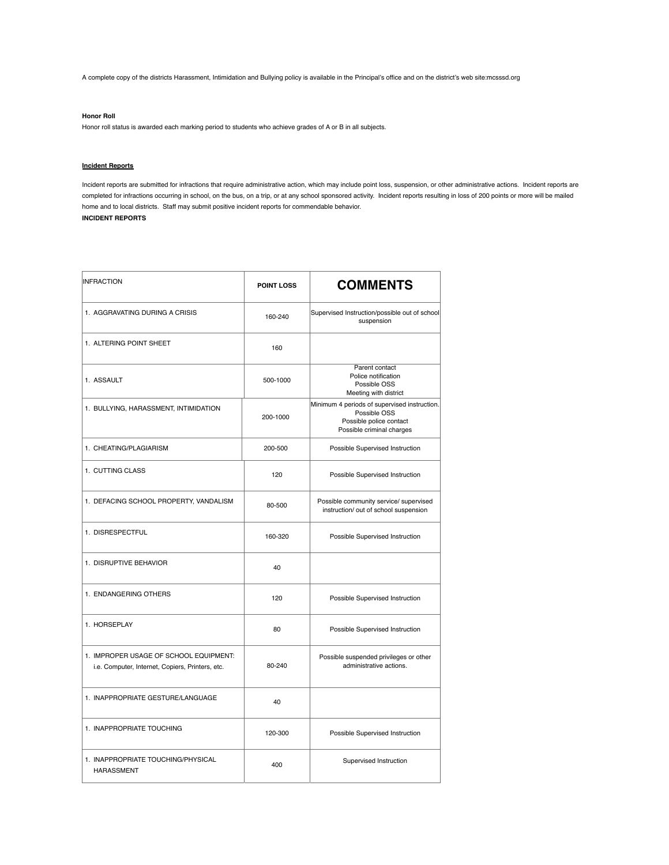A complete copy of the districts Harassment, Intimidation and Bullying policy is available in the Principal's office and on the district's web site:mcsssd.org

# **Honor Roll**

Honor roll status is awarded each marking period to students who achieve grades of A or B in all subjects.

# **Incident Reports**

Incident reports are submitted for infractions that require administrative action, which may include point loss, suspension, or other administrative actions. Incident reports are completed for infractions occurring in school, on the bus, on a trip, or at any school sponsored activity. Incident reports resulting in loss of 200 points or more will be mailed home and to local districts. Staff may submit positive incident reports for commendable behavior. **INCIDENT REPORTS**

| <b>INFRACTION</b>                                                                          | <b>POINT LOSS</b> | <b>COMMENTS</b>                                                                                                      |
|--------------------------------------------------------------------------------------------|-------------------|----------------------------------------------------------------------------------------------------------------------|
| 1. AGGRAVATING DURING A CRISIS                                                             | 160-240           | Supervised Instruction/possible out of school<br>suspension                                                          |
| 1. ALTERING POINT SHEET                                                                    | 160               |                                                                                                                      |
| 1. ASSAULT                                                                                 | 500-1000          | Parent contact<br>Police notification<br>Possible OSS<br>Meeting with district                                       |
| 1. BULLYING, HARASSMENT, INTIMIDATION                                                      | 200-1000          | Minimum 4 periods of supervised instruction.<br>Possible OSS<br>Possible police contact<br>Possible criminal charges |
| 1. CHEATING/PLAGIARISM                                                                     | 200-500           | Possible Supervised Instruction                                                                                      |
| 1. CUTTING CLASS                                                                           | 120               | Possible Supervised Instruction                                                                                      |
| 1. DEFACING SCHOOL PROPERTY, VANDALISM                                                     | 80-500            | Possible community service/ supervised<br>instruction/ out of school suspension                                      |
| 1. DISRESPECTFUL                                                                           | 160-320           | Possible Supervised Instruction                                                                                      |
| 1. DISRUPTIVE BEHAVIOR                                                                     | 40                |                                                                                                                      |
| 1. ENDANGERING OTHERS                                                                      | 120               | Possible Supervised Instruction                                                                                      |
| 1. HORSEPLAY                                                                               | 80                | Possible Supervised Instruction                                                                                      |
| 1. IMPROPER USAGE OF SCHOOL EQUIPMENT:<br>i.e. Computer, Internet, Copiers, Printers, etc. | 80-240            | Possible suspended privileges or other<br>administrative actions.                                                    |
| 1. INAPPROPRIATE GESTURE/LANGUAGE                                                          | 40                |                                                                                                                      |
| 1. INAPPROPRIATE TOUCHING                                                                  | 120-300           | Possible Supervised Instruction                                                                                      |
| 1. INAPPROPRIATE TOUCHING/PHYSICAL<br><b>HARASSMENT</b>                                    | 400               | Supervised Instruction                                                                                               |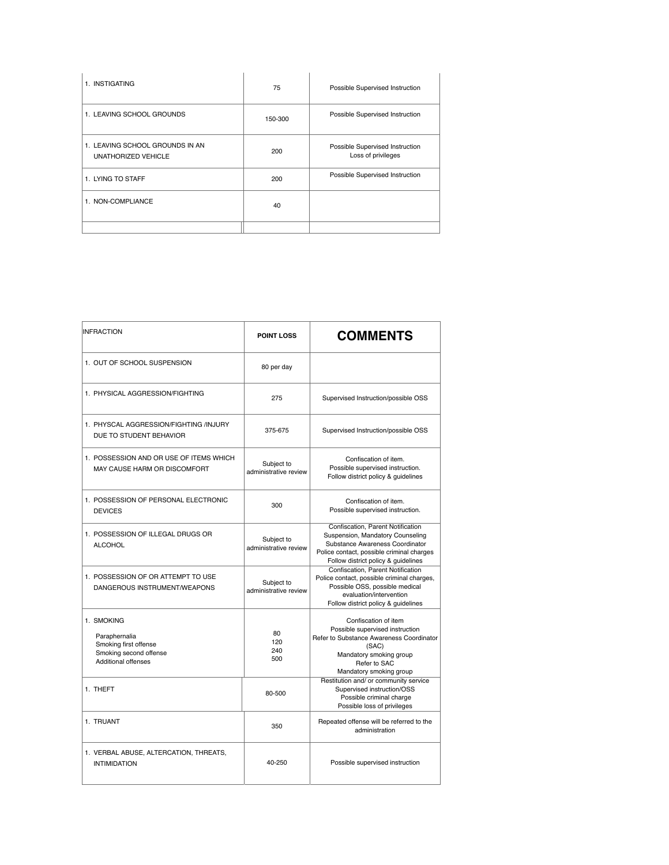| 1. INSTIGATING                                         | 75      | Possible Supervised Instruction                       |
|--------------------------------------------------------|---------|-------------------------------------------------------|
| 1. LEAVING SCHOOL GROUNDS                              | 150-300 | Possible Supervised Instruction                       |
| 1. LEAVING SCHOOL GROUNDS IN AN<br>UNATHORIZED VEHICLE | 200     | Possible Supervised Instruction<br>Loss of privileges |
| 1. LYING TO STAFF                                      | 200     | Possible Supervised Instruction                       |
| 1. NON-COMPLIANCE                                      | 40      |                                                       |
|                                                        |         |                                                       |

| <b>INFRACTION</b>                                                                                            | <b>POINT LOSS</b>                   | <b>COMMENTS</b>                                                                                                                                                                              |
|--------------------------------------------------------------------------------------------------------------|-------------------------------------|----------------------------------------------------------------------------------------------------------------------------------------------------------------------------------------------|
| 1. OUT OF SCHOOL SUSPENSION                                                                                  | 80 per day                          |                                                                                                                                                                                              |
| 1. PHYSICAL AGGRESSION/FIGHTING                                                                              | 275                                 | Supervised Instruction/possible OSS                                                                                                                                                          |
| 1. PHYSCAL AGGRESSION/FIGHTING /INJURY<br>DUE TO STUDENT BEHAVIOR                                            | 375-675                             | Supervised Instruction/possible OSS                                                                                                                                                          |
| 1. POSSESSION AND OR USE OF ITEMS WHICH<br>MAY CAUSE HARM OR DISCOMFORT                                      | Subject to<br>administrative review | Confiscation of item.<br>Possible supervised instruction.<br>Follow district policy & guidelines                                                                                             |
| 1. POSSESSION OF PERSONAL ELECTRONIC<br><b>DEVICES</b>                                                       | 300                                 | Confiscation of item.<br>Possible supervised instruction.                                                                                                                                    |
| 1. POSSESSION OF ILLEGAL DRUGS OR<br><b>ALCOHOL</b>                                                          | Subject to<br>administrative review | Confiscation, Parent Notification<br>Suspension, Mandatory Counseling<br>Substance Awareness Coordinator<br>Police contact, possible criminal charges<br>Follow district policy & guidelines |
| 1. POSSESSION OF OR ATTEMPT TO USE<br>DANGEROUS INSTRUMENT/WEAPONS                                           | Subject to<br>administrative review | Confiscation, Parent Notification<br>Police contact, possible criminal charges,<br>Possible OSS, possible medical<br>evaluation/intervention<br>Follow district policy & guidelines          |
| 1. SMOKING<br>Paraphernalia<br>Smoking first offense<br>Smoking second offense<br><b>Additional offenses</b> | 80<br>120<br>240<br>500             | Confiscation of item<br>Possible supervised instruction<br>Refer to Substance Awareness Coordinator<br>(SAC)<br>Mandatory smoking group<br>Refer to SAC<br>Mandatory smoking group           |
| 1. THEFT                                                                                                     | 80-500                              | Restitution and/ or community service<br>Supervised instruction/OSS<br>Possible criminal charge<br>Possible loss of privileges                                                               |
| 1. TRUANT                                                                                                    | 350                                 | Repeated offense will be referred to the<br>administration                                                                                                                                   |
| 1. VERBAL ABUSE, ALTERCATION, THREATS,<br><b>INTIMIDATION</b>                                                | 40-250                              | Possible supervised instruction                                                                                                                                                              |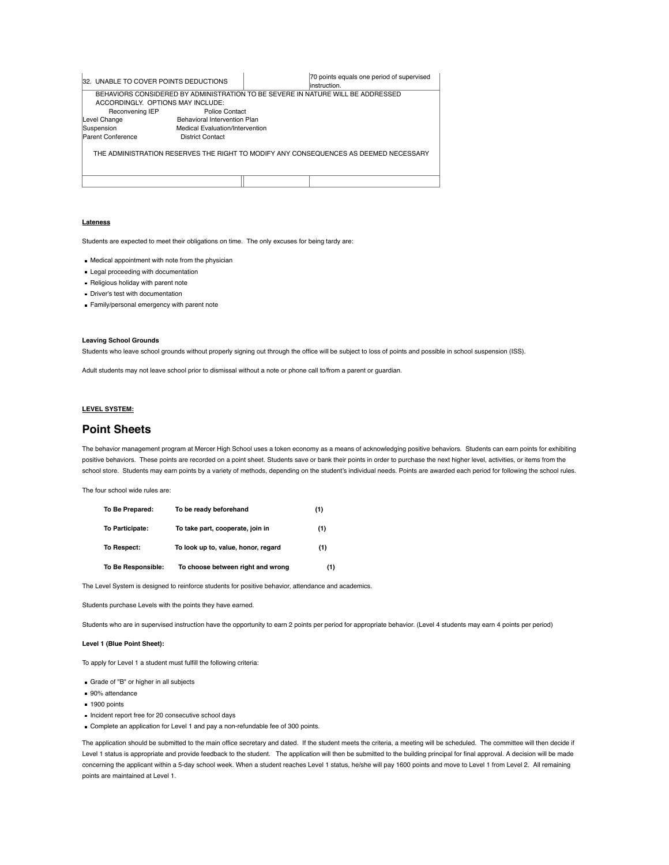| 32. UNABLE TO COVER POINTS DEDUCTIONS                                                |                                 |  | 70 points equals one period of supervised<br>linstruction.                      |
|--------------------------------------------------------------------------------------|---------------------------------|--|---------------------------------------------------------------------------------|
|                                                                                      |                                 |  | BEHAVIORS CONSIDERED BY ADMINISTRATION TO BE SEVERE IN NATURE WILL BE ADDRESSED |
| ACCORDINGLY. OPTIONS MAY INCLUDE:                                                    |                                 |  |                                                                                 |
| Reconvening IEP                                                                      | Police Contact                  |  |                                                                                 |
| Level Change                                                                         | Behavioral Intervention Plan    |  |                                                                                 |
| Suspension                                                                           | Medical Evaluation/Intervention |  |                                                                                 |
| Parent Conference                                                                    | <b>District Contact</b>         |  |                                                                                 |
| THE ADMINISTRATION RESERVES THE RIGHT TO MODIFY ANY CONSEQUENCES AS DEEMED NECESSARY |                                 |  |                                                                                 |
|                                                                                      |                                 |  |                                                                                 |

# **Lateness**

Students are expected to meet their obligations on time. The only excuses for being tardy are:

Medical appointment with note from the physician

- **Legal proceeding with documentation**
- **Religious holiday with parent note**
- **Driver's test with documentation**
- Family/personal emergency with parent note

# **Leaving School Grounds**

Students who leave school grounds without properly signing out through the office will be subject to loss of points and possible in school suspension (ISS).

Adult students may not leave school prior to dismissal without a note or phone call to/from a parent or guardian.

# **LEVEL SYSTEM:**

# **Point Sheets**

The behavior management program at Mercer High School uses a token economy as a means of acknowledging positive behaviors. Students can earn points for exhibiting positive behaviors. These points are recorded on a point sheet. Students save or bank their points in order to purchase the next higher level, activities, or items from the school store. Students may earn points by a variety of methods, depending on the student's individual needs. Points are awarded each period for following the school rules.

The four school wide rules are:

| To Be Prepared:    | To be ready beforehand              | (1) |
|--------------------|-------------------------------------|-----|
| To Participate:    | To take part, cooperate, join in    | (1) |
| To Respect:        | To look up to, value, honor, regard | (1) |
| To Be Responsible: | To choose between right and wrong   | (1) |

The Level System is designed to reinforce students for positive behavior, attendance and academics.

Students purchase Levels with the points they have earned.

Students who are in supervised instruction have the opportunity to earn 2 points per period for appropriate behavior. (Level 4 students may earn 4 points per period)

# **Level 1 (Blue Point Sheet):**

To apply for Level 1 a student must fulfill the following criteria:

- Grade of "B" or higher in all subjects
- 90% attendance
- 1900 points
- Incident report free for 20 consecutive school days
- Complete an application for Level 1 and pay a non-refundable fee of 300 points.

The application should be submitted to the main office secretary and dated. If the student meets the criteria, a meeting will be scheduled. The committee will then decide if Level 1 status is appropriate and provide feedback to the student. The application will then be submitted to the building principal for final approval. A decision will be made concerning the applicant within a 5-day school week. When a student reaches Level 1 status, he/she will pay 1600 points and move to Level 1 from Level 2. All remaining points are maintained at Level 1.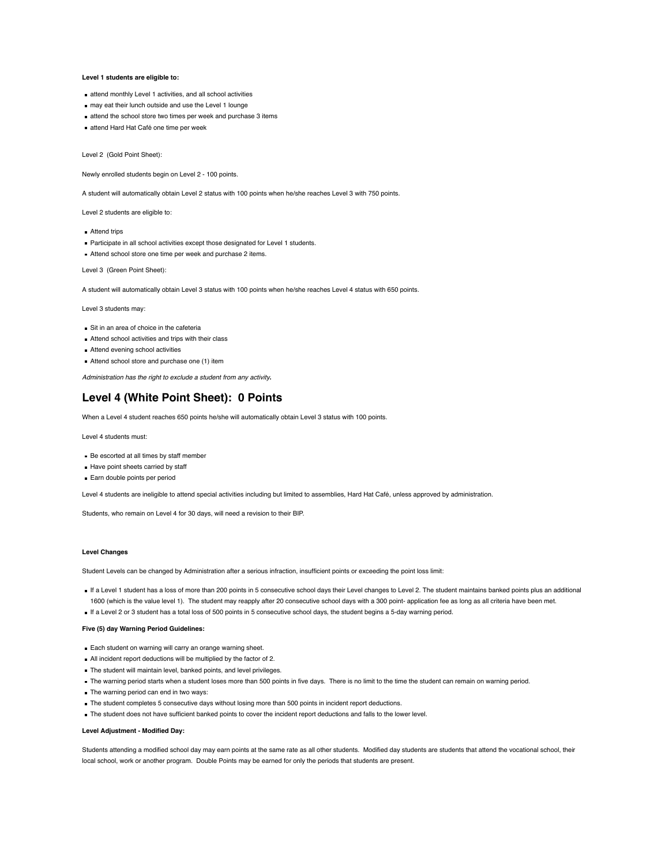# **Level 1 students are eligible to:**

- attend monthly Level 1 activities, and all school activities
- may eat their lunch outside and use the Level 1 lounge
- attend the school store two times per week and purchase 3 items
- attend Hard Hat Café one time per week

Level 2 (Gold Point Sheet):

Newly enrolled students begin on Level 2 - 100 points.

A student will automatically obtain Level 2 status with 100 points when he/she reaches Level 3 with 750 points.

Level 2 students are eligible to:

- **Attend trips**
- **Participate in all school activities except those designated for Level 1 students.**
- Attend school store one time per week and purchase 2 items.

Level 3 (Green Point Sheet):

A student will automatically obtain Level 3 status with 100 points when he/she reaches Level 4 status with 650 points.

Level 3 students may:

- Sit in an area of choice in the cafeteria
- Attend school activities and trips with their class
- Attend evening school activities
- Attend school store and purchase one (1) item

*Administration has the right to exclude a student from any activity***.**

# **Level 4 (White Point Sheet): 0 Points**

When a Level 4 student reaches 650 points he/she will automatically obtain Level 3 status with 100 points.

Level 4 students must:

- Be escorted at all times by staff member
- Have point sheets carried by staff
- **Earn double points per period**

Level 4 students are ineligible to attend special activities including but limited to assemblies, Hard Hat Café, unless approved by administration.

Students, who remain on Level 4 for 30 days, will need a revision to their BIP.

# **Level Changes**

Student Levels can be changed by Administration after a serious infraction, insufficient points or exceeding the point loss limit:

If a Level 1 student has a loss of more than 200 points in 5 consecutive school days their Level changes to Level 2. The student maintains banked points plus an additional 1600 (which is the value level 1). The student may reapply after 20 consecutive school days with a 300 point- application fee as long as all criteria have been met.

# If a Level 2 or 3 student has a total loss of 500 points in 5 consecutive school days, the student begins a 5-day warning period.

# **Five (5) day Warning Period Guidelines:**

- **Each student on warning will carry an orange warning sheet.**
- All incident report deductions will be multiplied by the factor of 2.
- The student will maintain level, banked points, and level privileges.
- The warning period starts when a student loses more than 500 points in five days. There is no limit to the time the student can remain on warning period.
- The warning period can end in two ways:
- The student completes 5 consecutive days without losing more than 500 points in incident report deductions.
- The student does not have sufficient banked points to cover the incident report deductions and falls to the lower level.

# **Level Adjustment - Modified Day:**

Students attending a modified school day may earn points at the same rate as all other students. Modified day students are students that attend the vocational school, their local school, work or another program. Double Points may be earned for only the periods that students are present.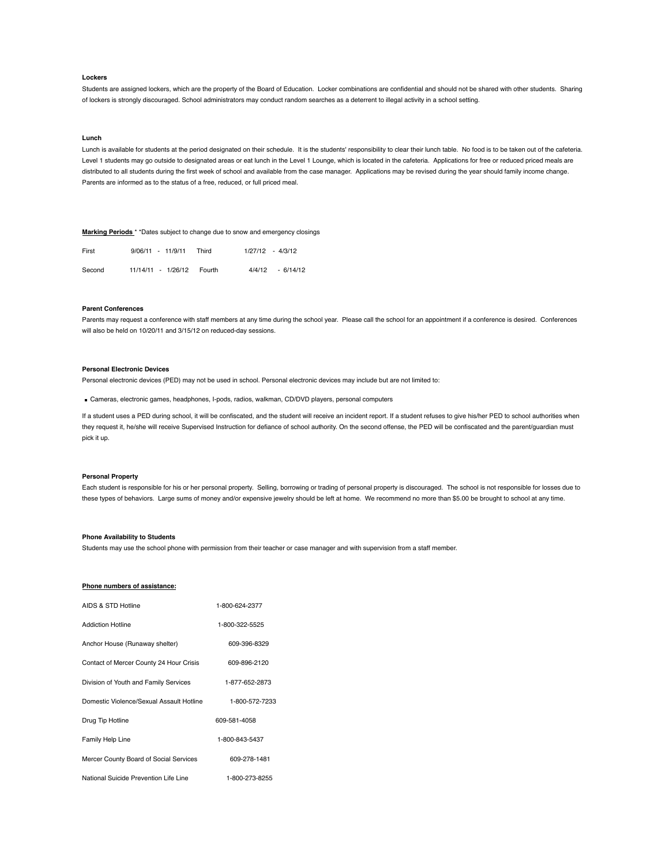# **Lockers**

Students are assigned lockers, which are the property of the Board of Education. Locker combinations are confidential and should not be shared with other students. Sharing of lockers is strongly discouraged. School administrators may conduct random searches as a deterrent to illegal activity in a school setting.

### **Lunch**

Lunch is available for students at the period designated on their schedule. It is the students' responsibility to clear their lunch table. No food is to be taken out of the cafeteria. Level 1 students may go outside to designated areas or eat lunch in the Level 1 Lounge, which is located in the cafeteria. Applications for free or reduced priced meals are distributed to all students during the first week of school and available from the case manager. Applications may be revised during the year should family income change. Parents are informed as to the status of a free, reduced, or full priced meal.

# **Marking Periods** \* \*Dates subject to change due to snow and emergency closings

| First  | $9/06/11 - 11/9/11$ | Third            | $1/27/12 - 4/3/12$ |
|--------|---------------------|------------------|--------------------|
| Second | 11/14/11 - 1/26/12  | 4/4/12<br>Fourth | $-6/14/12$         |

# **Parent Conferences**

Parents may request a conference with staff members at any time during the school year. Please call the school for an appointment if a conference is desired. Conferences will also be held on 10/20/11 and 3/15/12 on reduced-day sessions.

# **Personal Electronic Devices**

Personal electronic devices (PED) may not be used in school. Personal electronic devices may include but are not limited to:

Cameras, electronic games, headphones, I-pods, radios, walkman, CD/DVD players, personal computers

If a student uses a PED during school, it will be confiscated, and the student will receive an incident report. If a student refuses to give his/her PED to school authorities when they request it, he/she will receive Supervised Instruction for defiance of school authority. On the second offense, the PED will be confiscated and the parent/guardian must pick it up.

# **Personal Property**

Each student is responsible for his or her personal property. Selling, borrowing or trading of personal property is discouraged. The school is not responsible for losses due to these types of behaviors. Large sums of money and/or expensive jewelry should be left at home. We recommend no more than \$5.00 be brought to school at any time.

# **Phone Availability to Students**

Students may use the school phone with permission from their teacher or case manager and with supervision from a staff member.

## **Phone numbers of assistance:**

| AIDS & STD Hotline                       | 1-800-624-2377 |
|------------------------------------------|----------------|
| <b>Addiction Hotline</b>                 | 1-800-322-5525 |
| Anchor House (Runaway shelter)           | 609-396-8329   |
| Contact of Mercer County 24 Hour Crisis  | 609-896-2120   |
| Division of Youth and Family Services    | 1-877-652-2873 |
| Domestic Violence/Sexual Assault Hotline | 1-800-572-7233 |
| Drug Tip Hotline                         | 609-581-4058   |
| Family Help Line                         | 1-800-843-5437 |
| Mercer County Board of Social Services   | 609-278-1481   |
| National Suicide Prevention Life Line    | 1-800-273-8255 |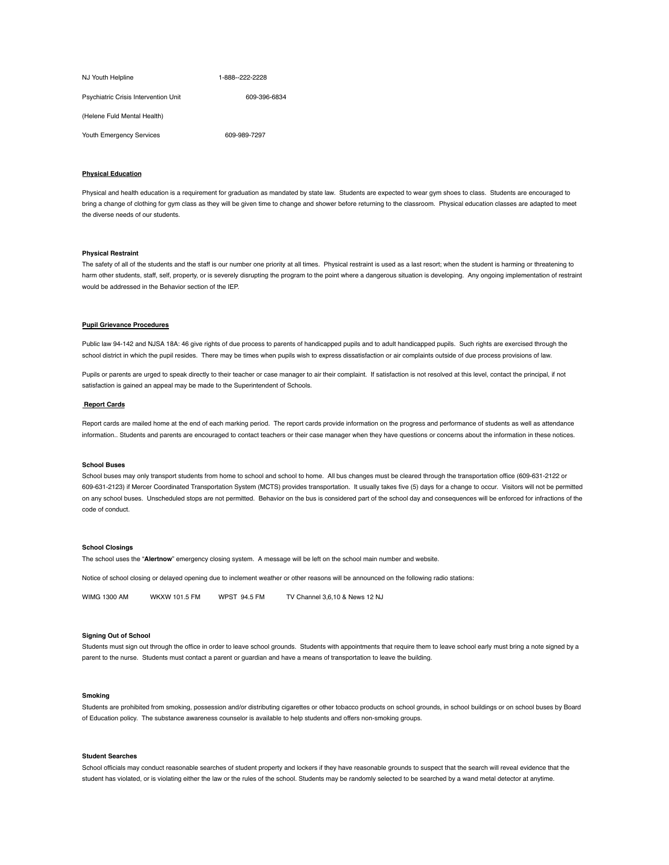| NJ Youth Helpline                    | 1-888--222-2228 |
|--------------------------------------|-----------------|
| Psychiatric Crisis Intervention Unit | 609-396-6834    |
| (Helene Fuld Mental Health)          |                 |
| Youth Emergency Services             | 609-989-7297    |

# **Physical Education**

Physical and health education is a requirement for graduation as mandated by state law. Students are expected to wear gym shoes to class. Students are encouraged to bring a change of clothing for gym class as they will be given time to change and shower before returning to the classroom. Physical education classes are adapted to meet the diverse needs of our students.

# **Physical Restraint**

The safety of all of the students and the staff is our number one priority at all times. Physical restraint is used as a last resort; when the student is harming or threatening to harm other students, staff, self, property, or is severely disrupting the program to the point where a dangerous situation is developing. Any ongoing implementation of restraint would be addressed in the Behavior section of the IEP.

# **Pupil Grievance Procedures**

Public law 94-142 and NJSA 18A: 46 give rights of due process to parents of handicapped pupils and to adult handicapped pupils. Such rights are exercised through the school district in which the pupil resides. There may be times when pupils wish to express dissatisfaction or air complaints outside of due process provisions of law.

Pupils or parents are urged to speak directly to their teacher or case manager to air their complaint. If satisfaction is not resolved at this level, contact the principal, if not satisfaction is gained an appeal may be made to the Superintendent of Schools.

#### **Report Cards**

Report cards are mailed home at the end of each marking period. The report cards provide information on the progress and performance of students as well as attendance information.. Students and parents are encouraged to contact teachers or their case manager when they have questions or concerns about the information in these notices.

## **School Buses**

School buses may only transport students from home to school and school to home. All bus changes must be cleared through the transportation office (609-631-2122 or 609-631-2123) if Mercer Coordinated Transportation System (MCTS) provides transportation. It usually takes five (5) days for a change to occur. Visitors will not be permitted on any school buses. Unscheduled stops are not permitted. Behavior on the bus is considered part of the school day and consequences will be enforced for infractions of the code of conduct.

#### **School Closings**

The school uses the "**Alertnow**" emergency closing system. A message will be left on the school main number and website.

Notice of school closing or delayed opening due to inclement weather or other reasons will be announced on the following radio stations:

WIMG 1300 AM WKXW 101.5 FM WPST 94.5 FM TV Channel 3,6,10 & News 12 NJ

# **Signing Out of School**

Students must sign out through the office in order to leave school grounds. Students with appointments that require them to leave school early must bring a note signed by a parent to the nurse. Students must contact a parent or guardian and have a means of transportation to leave the building.

## **Smoking**

Students are prohibited from smoking, possession and/or distributing cigarettes or other tobacco products on school grounds, in school buildings or on school buses by Board of Education policy. The substance awareness counselor is available to help students and offers non-smoking groups.

# **Student Searches**

School officials may conduct reasonable searches of student property and lockers if they have reasonable grounds to suspect that the search will reveal evidence that the student has violated, or is violating either the law or the rules of the school. Students may be randomly selected to be searched by a wand metal detector at anytime.